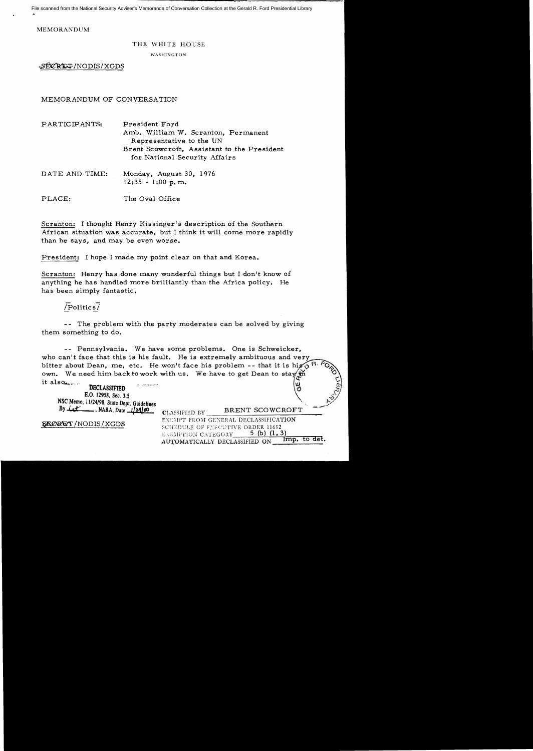File scanned from the National Security Adviser's Memoranda of Conversation Collection at the Gerald R. Ford Presidential Library

**MEMORANDUM** 

#### THE WHITE HOUSE

WASHINGTON

SECRET/NODIS/XGDS

MEMORANDUM OF CONVERSATION

| PARTICIPANTS:  | President Ford<br>Amb. William W. Scranton, Permanent<br>Representative to the UN<br>Brent Scowcroft, Assistant to the President<br>for National Security Affairs |
|----------------|-------------------------------------------------------------------------------------------------------------------------------------------------------------------|
| DATE AND TIME: | Monday, August 30, 1976<br>$12:35 - 1:00$ p.m.                                                                                                                    |

PLACE: The Oval Office

Scranton: I thought Henry Kissinger's description of the Southern African situation was accurate, but I think it will come more rapidly than he savs. and may be even worse.

President: I hope I made my point clear on that and Korea.

Scranton: Henry has done many wonderful things but I don't know of anything he has handled more brilliantly than the Africa policy. He has been simply fantastic.

## $/$ Politics $/$

-- The problem with the party moderates can be solved by giving them something to do.

-- Pennsylvania. We have some problems. One is Schweicker. who can't face that this is his fault. He is extremely ambituous and very bitter about Dean, me, etc. He won't face his problem -- that it is hight own. We need him back to work with us. We have to get Dean to stay  $\oint_C$ it also

**DECLASSIFIED** E.O. 12958, Sec. 3.5 NSC Memo, 11/24/98, State Dept. Guidelines By  $Lt$  NARA, Date  $12900$ 

SAORET/NODIS/XGDS

| <b>CLASSIFIED BY</b>          | BRENT SCOWCROFT                      |  |
|-------------------------------|--------------------------------------|--|
|                               | EXEMPT FROM GENERAL DECLASSIFICATION |  |
|                               | SCHEDULE OF FYRCUTIVE ORDER 11652    |  |
| <b>EXEMPTION CATEGORY</b>     | 5 (b) $(1, 3)$                       |  |
| AUTOMATICALLY DECLASSIFIED ON | Imp. to det.                         |  |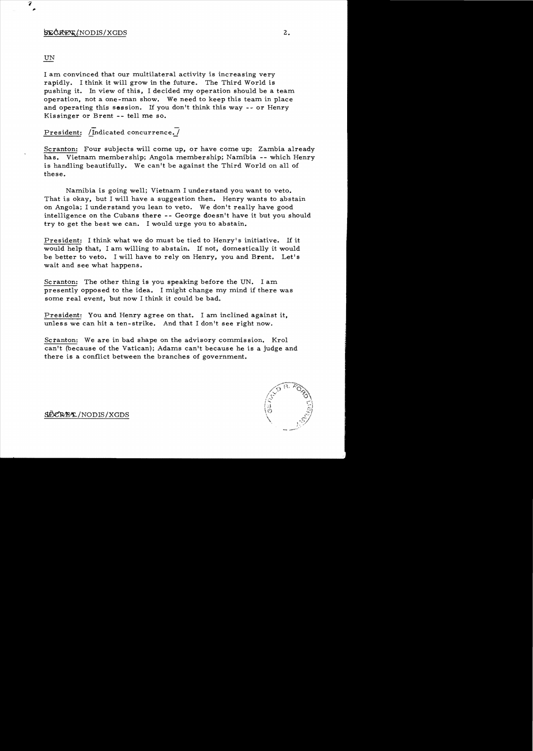### $\frac{1}{2}$

### UN

I am convinced that our multilateral activity is increasing very rapidly. I think it will grow in the future. The Third World is pushing it. In view of this, I decided my operation should be a team operation, not a one-man show. We need to keep this team in place and operating this session. If you don't think this way -- or Henry Kis singer or Brent - - tell me so.

# President: /Indicated concurrence./

Scranton: Four subjects will come up, or have come up: Zambia already has. Vietnam membership; Angola membership; Namibia -- which Henry is handling beautifully. We can't be against the Third World on all of these.

Namibia is going well; Vietnam I understand you want to veto. That is okay, but I will have a suggestion then. Henry wants to abstain on Angola; I understand you lean to veto. We don't really have good intelligence on the Cubans there -- George doesn't have it but you should try to get the best we can. I would urge you to abstain.

President: I think what we do must be tied to Henry's initiative. If it would help that, I am willing to abstain. If not, domestically it would be better to veto. I will have to rely on Henry, you and Brent. Let's wait and see what happens.

Scranton: The other thing is you speaking before the UN. I am presently opposed to the idea. I might change my mind if there was some real event, but now I think it could be bad.

President: You and Henry agree on that. I am inclined against it, unless we can hit a ten-strike. And that I don't see right now.

Scranton: We are in bad shape on the advisory commission. Krol can't (because of the Vatican); Adams can't because he is a judge and there is a conflict between the branches of government.



SECRET / NODIS/XGDS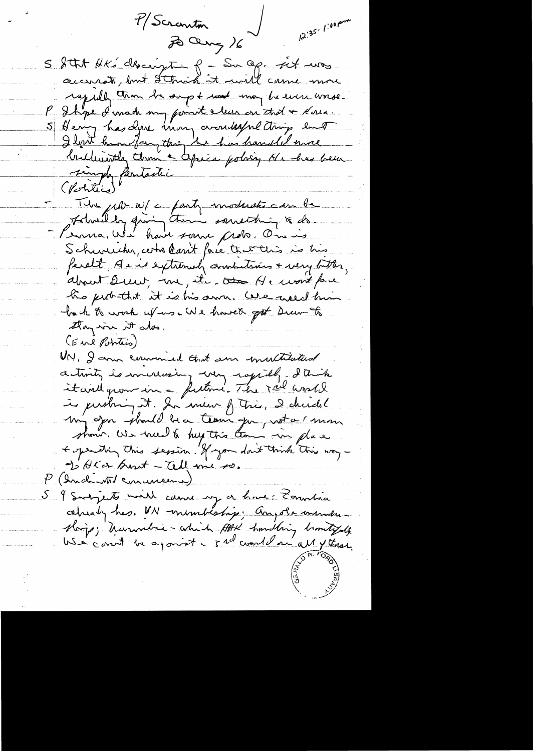$12.35/100$  pm 7/Scranton 2 aug 16 S Stat HK' clasingtin 8 - Sur Op. sit was rapidly than he sup + road may be even worse. Ihre d'unade my point clear on that a Korea. Henry has done immy avantagne tring ent I light handfangthing the has handled more brilliantly them a typica policy de has been singly fentastic The probability of anty moderate can be Admilly giving them something & ds. Schweicher, certre Carrit force the waters is his faralt, sie extremely annulians + very bitter, about Deur, me, it to He wont pare his perbathat it is his sun. We welch him back to work uf us . We have to get Drew to they wis it also. (Eine Potrtis) UN, I am commed that sure inultitation activity to increasing way rapidly. I trick itaire quon in - future. The ral world is pushing it. In meur frais, 2 chardel my Jon should be a team que wat a mon shown. We went to help this team in place + operating this session. If you don't think this way-I HKar burt - Cell me so. P. (Inch Mil concreme) 5 & Subjects will came up a have: Touchia cehealy has. UN -membeship: Anyola member shop; Marmabia - which Att Sunding brantyde We count be agonist - sal world and all y these